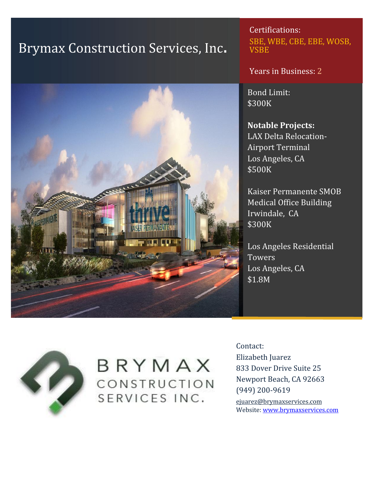# Brymax Construction Services, Inc.



Certifications: SBE, WBE, CBE, EBE, WOSB, **VSBE** 

Years in Business: 2

Bond Limit: \$300K

### **Notable Projects:**

LAX Delta Relocation- Airport Terminal Los Angeles, CA \$500K

Kaiser Permanente SMOB Medical Office Building Irwindale, CA \$300K

Los Angeles Residential **Towers** Los Angeles, CA \$1.8M



## BRYMAX CONSTRUCTION SERVICES INC.

Contact: Elizabeth Juarez 833 Dover Drive Suite 25 Newport Beach, CA 92663 (949) 200-9619 ejuarez@brymaxservices.com

Website: www.brymaxservices.com